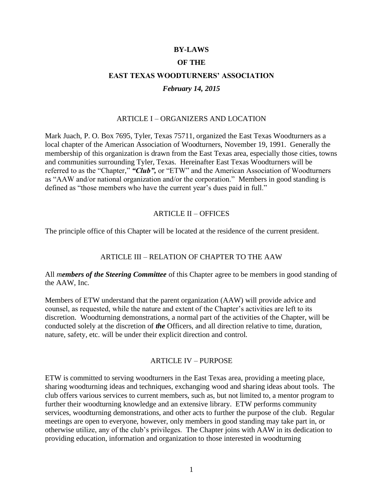## **BY-LAWS**

#### **OF THE**

# **EAST TEXAS WOODTURNERS' ASSOCIATION**

#### *February 14, 2015*

# ARTICLE I – ORGANIZERS AND LOCATION

Mark Juach, P. O. Box 7695, Tyler, Texas 75711, organized the East Texas Woodturners as a local chapter of the American Association of Woodturners, November 19, 1991. Generally the membership of this organization is drawn from the East Texas area, especially those cities, towns and communities surrounding Tyler, Texas. Hereinafter East Texas Woodturners will be referred to as the "Chapter," *"Club",* or "ETW" and the American Association of Woodturners as "AAW and/or national organization and/or the corporation." Members in good standing is defined as "those members who have the current year's dues paid in full."

#### ARTICLE II – OFFICES

The principle office of this Chapter will be located at the residence of the current president.

## ARTICLE III – RELATION OF CHAPTER TO THE AAW

All *members of the Steering Committee* of this Chapter agree to be members in good standing of the AAW, Inc.

Members of ETW understand that the parent organization (AAW) will provide advice and counsel, as requested, while the nature and extent of the Chapter's activities are left to its discretion. Woodturning demonstrations, a normal part of the activities of the Chapter, will be conducted solely at the discretion of *the* Officers, and all direction relative to time, duration, nature, safety, etc. will be under their explicit direction and control.

#### ARTICLE IV – PURPOSE

ETW is committed to serving woodturners in the East Texas area, providing a meeting place, sharing woodturning ideas and techniques, exchanging wood and sharing ideas about tools. The club offers various services to current members, such as, but not limited to, a mentor program to further their woodturning knowledge and an extensive library. ETW performs community services, woodturning demonstrations, and other acts to further the purpose of the club. Regular meetings are open to everyone, however, only members in good standing may take part in, or otherwise utilize, any of the club's privileges. The Chapter joins with AAW in its dedication to providing education, information and organization to those interested in woodturning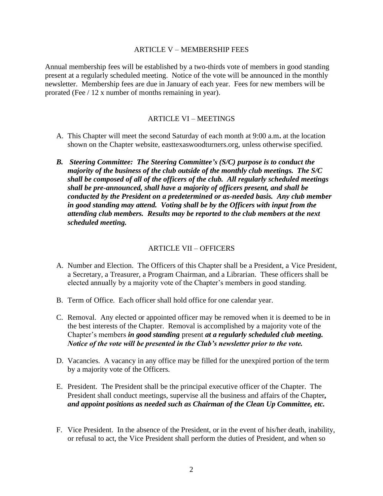#### ARTICLE V – MEMBERSHIP FEES

Annual membership fees will be established by a two-thirds vote of members in good standing present at a regularly scheduled meeting. Notice of the vote will be announced in the monthly newsletter. Membership fees are due in January of each year. Fees for new members will be prorated (Fee / 12 x number of months remaining in year).

# ARTICLE VI – MEETINGS

- A. This Chapter will meet the second Saturday of each month at 9:00 a.m**.** at the location shown on the Chapter website, easttexaswoodturners.org, unless otherwise specified.
- *B. Steering Committee: The Steering Committee's (S/C) purpose is to conduct the majority of the business of the club outside of the monthly club meetings. The S/C shall be composed of all of the officers of the club. All regularly scheduled meetings shall be pre-announced, shall have a majority of officers present, and shall be conducted by the President on a predetermined or as-needed basis. Any club member in good standing may attend. Voting shall be by the Officers with input from the attending club members. Results may be reported to the club members at the next scheduled meeting.*

## ARTICLE VII – OFFICERS

- A. Number and Election. The Officers of this Chapter shall be a President, a Vice President*,* a Secretary, a Treasurer, a Program Chairman, and a Librarian. These officers shall be elected annually by a majority vote of the Chapter's members in good standing.
- B. Term of Office. Each officer shall hold office for one calendar year.
- C. Removal. Any elected or appointed officer may be removed when it is deemed to be in the best interests of the Chapter. Removal is accomplished by a majority vote of the Chapter's members *in good standing* present *at a regularly scheduled club meeting. Notice of the vote will be presented in the Club's newsletter prior to the vote.*
- D. Vacancies. A vacancy in any office may be filled for the unexpired portion of the term by a majority vote of the Officers.
- E. President. The President shall be the principal executive officer of the Chapter. The President shall conduct meetings, supervise all the business and affairs of the Chapter*, and appoint positions as needed such as Chairman of the Clean Up Committee, etc.*
- F. Vice President. In the absence of the President, or in the event of his/her death, inability, or refusal to act, the Vice President shall perform the duties of President, and when so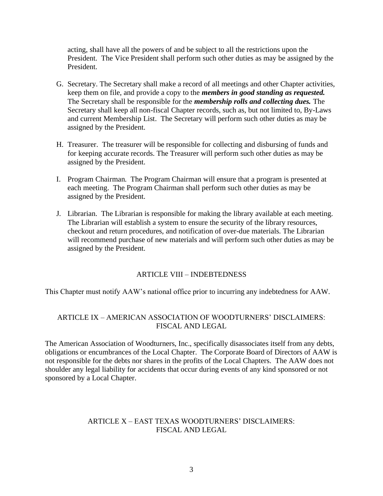acting, shall have all the powers of and be subject to all the restrictions upon the President. The Vice President shall perform such other duties as may be assigned by the President.

- G. Secretary. The Secretary shall make a record of all meetings and other Chapter activities, keep them on file, and provide a copy to the *members in good standing as requested.*  The Secretary shall be responsible for the *membership rolls and collecting dues.* The Secretary shall keep all non-fiscal Chapter records, such as, but not limited to, By-Laws and current Membership List. The Secretary will perform such other duties as may be assigned by the President.
- H. Treasurer. The treasurer will be responsible for collecting and disbursing of funds and for keeping accurate records. The Treasurer will perform such other duties as may be assigned by the President.
- I. Program Chairman. The Program Chairman will ensure that a program is presented at each meeting. The Program Chairman shall perform such other duties as may be assigned by the President.
- J. Librarian. The Librarian is responsible for making the library available at each meeting. The Librarian will establish a system to ensure the security of the library resources, checkout and return procedures, and notification of over-due materials. The Librarian will recommend purchase of new materials and will perform such other duties as may be assigned by the President.

## ARTICLE VIII – INDEBTEDNESS

This Chapter must notify AAW's national office prior to incurring any indebtedness for AAW.

# ARTICLE IX – AMERICAN ASSOCIATION OF WOODTURNERS' DISCLAIMERS: FISCAL AND LEGAL

The American Association of Woodturners, Inc., specifically disassociates itself from any debts, obligations or encumbrances of the Local Chapter. The Corporate Board of Directors of AAW is not responsible for the debts nor shares in the profits of the Local Chapters. The AAW does not shoulder any legal liability for accidents that occur during events of any kind sponsored or not sponsored by a Local Chapter.

# ARTICLE X – EAST TEXAS WOODTURNERS' DISCLAIMERS: FISCAL AND LEGAL